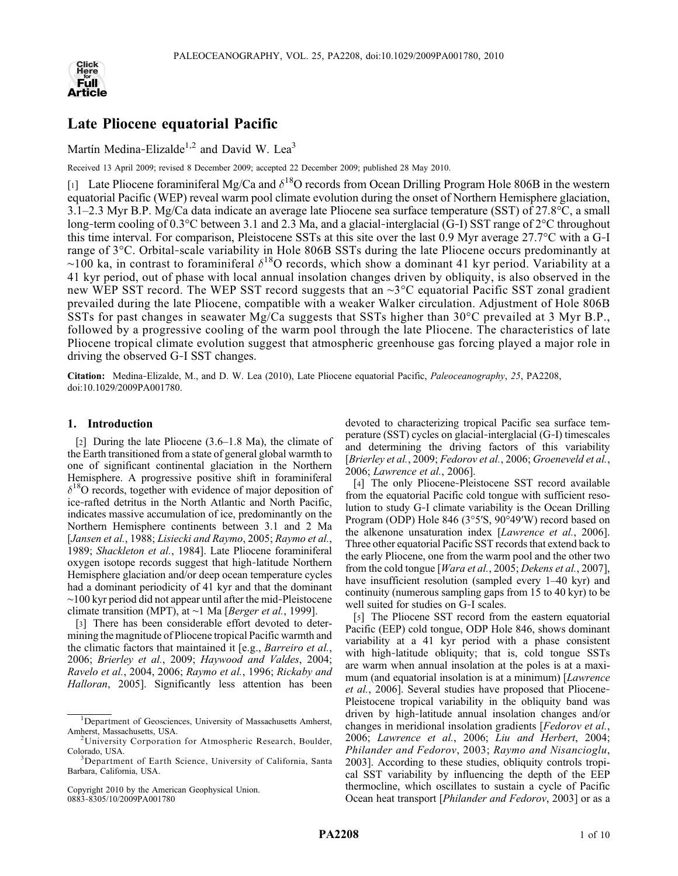

# Late Pliocene equatorial Pacific

Martín Medina-Elizalde<sup>1,2</sup> and David W. Lea<sup>3</sup>

Received 13 April 2009; revised 8 December 2009; accepted 22 December 2009; published 28 May 2010.

[1] Late Pliocene foraminiferal Mg/Ca and  $\delta^{18}$ O records from Ocean Drilling Program Hole 806B in the western equatorial Pacific (WEP) reveal warm pool climate evolution during the onset of Northern Hemisphere glaciation, 3.1–2.3 Myr B.P. Mg/Ca data indicate an average late Pliocene sea surface temperature (SST) of 27.8°C, a small long-term cooling of 0.3°C between 3.1 and 2.3 Ma, and a glacial-interglacial (G−I) SST range of 2°C throughout this time interval. For comparison, Pleistocene SSTs at this site over the last 0.9 Myr average 27.7°C with a G‐I range of 3°C. Orbital‐scale variability in Hole 806B SSTs during the late Pliocene occurs predominantly at  $~\sim$ 100 ka, in contrast to foraminiferal  $\delta^{18}$ O records, which show a dominant 41 kyr period. Variability at a 41 kyr period, out of phase with local annual insolation changes driven by obliquity, is also observed in the new WEP SST record. The WEP SST record suggests that an ∼3°C equatorial Pacific SST zonal gradient prevailed during the late Pliocene, compatible with a weaker Walker circulation. Adjustment of Hole 806B SSTs for past changes in seawater Mg/Ca suggests that SSTs higher than 30°C prevailed at 3 Myr B.P., followed by a progressive cooling of the warm pool through the late Pliocene. The characteristics of late Pliocene tropical climate evolution suggest that atmospheric greenhouse gas forcing played a major role in driving the observed G‐I SST changes.

Citation: Medina‐Elizalde, M., and D. W. Lea (2010), Late Pliocene equatorial Pacific, Paleoceanography, 25, PA2208, doi:10.1029/2009PA001780.

## 1. Introduction

[2] During the late Pliocene (3.6–1.8 Ma), the climate of the Earth transitioned from a state of general global warmth to one of significant continental glaciation in the Northern Hemisphere. A progressive positive shift in foraminiferal  $\delta^{18}$ O records, together with evidence of major deposition of ice‐rafted detritus in the North Atlantic and North Pacific, indicates massive accumulation of ice, predominantly on the Northern Hemisphere continents between 3.1 and 2 Ma [Jansen et al., 1988; Lisiecki and Raymo, 2005; Raymo et al., 1989; Shackleton et al., 1984]. Late Pliocene foraminiferal oxygen isotope records suggest that high‐latitude Northern Hemisphere glaciation and/or deep ocean temperature cycles had a dominant periodicity of 41 kyr and that the dominant ∼100 kyr period did not appear until after the mid‐Pleistocene climate transition (MPT), at ∼1 Ma [Berger et al., 1999].

[3] There has been considerable effort devoted to determining the magnitude of Pliocene tropical Pacific warmth and the climatic factors that maintained it [e.g., Barreiro et al., 2006; Brierley et al., 2009; Haywood and Valdes, 2004; Ravelo et al., 2004, 2006; Raymo et al., 1996; Rickaby and Halloran, 2005]. Significantly less attention has been

Copyright 2010 by the American Geophysical Union. 0883‐8305/10/2009PA001780

devoted to characterizing tropical Pacific sea surface temperature (SST) cycles on glacial‐interglacial (G‐I) timescales and determining the driving factors of this variability [Brierley et al., 2009; Fedorov et al., 2006; Groeneveld et al., 2006; Lawrence et al., 2006].

[4] The only Pliocene-Pleistocene SST record available from the equatorial Pacific cold tongue with sufficient resolution to study G‐I climate variability is the Ocean Drilling Program (ODP) Hole 846 (3°5′S, 90°49′W) record based on the alkenone unsaturation index [Lawrence et al., 2006]. Three other equatorial Pacific SST records that extend back to the early Pliocene, one from the warm pool and the other two from the cold tongue [Wara et al., 2005; Dekens et al., 2007], have insufficient resolution (sampled every 1–40 kyr) and continuity (numerous sampling gaps from 15 to 40 kyr) to be well suited for studies on G‐I scales.

[5] The Pliocene SST record from the eastern equatorial Pacific (EEP) cold tongue, ODP Hole 846, shows dominant variability at a 41 kyr period with a phase consistent with high-latitude obliquity; that is, cold tongue SSTs are warm when annual insolation at the poles is at a maximum (and equatorial insolation is at a minimum) [*Lawrence* et al., 2006]. Several studies have proposed that Pliocene‐ Pleistocene tropical variability in the obliquity band was driven by high‐latitude annual insolation changes and/or changes in meridional insolation gradients [Fedorov et al., 2006; Lawrence et al., 2006; Liu and Herbert, 2004; Philander and Fedorov, 2003; Raymo and Nisancioglu, 2003]. According to these studies, obliquity controls tropical SST variability by influencing the depth of the EEP thermocline, which oscillates to sustain a cycle of Pacific Ocean heat transport [Philander and Fedorov, 2003] or as a

<sup>&</sup>lt;sup>1</sup>Department of Geosciences, University of Massachusetts Amherst, Amherst, Massachusetts, USA. <sup>2</sup>

 $2$ University Corporation for Atmospheric Research, Boulder, Colorado, USA.

<sup>&</sup>lt;sup>3</sup>Department of Earth Science, University of California, Santa Barbara, California, USA.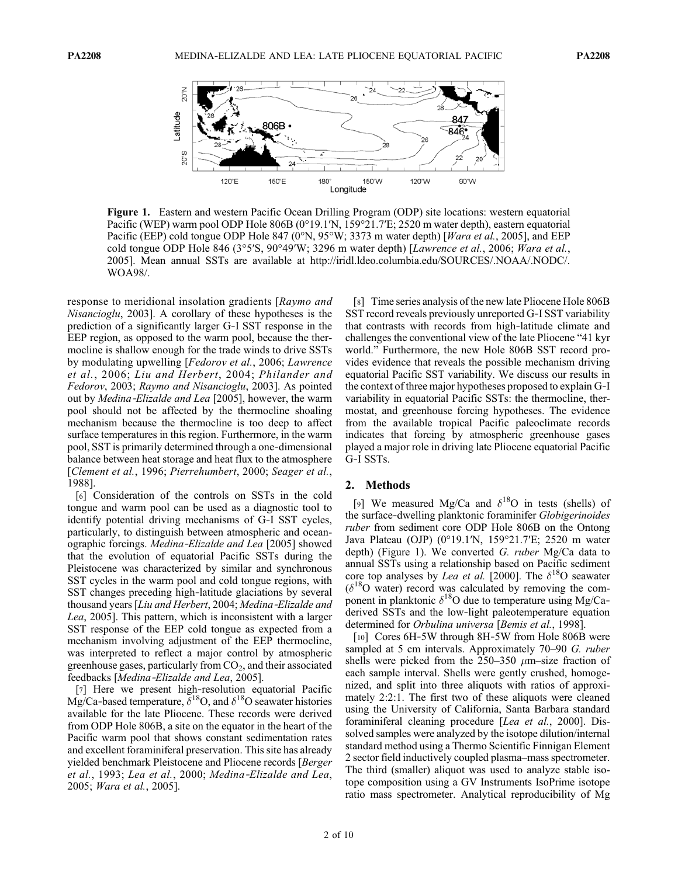

Figure 1. Eastern and western Pacific Ocean Drilling Program (ODP) site locations: western equatorial Pacific (WEP) warm pool ODP Hole 806B (0°19.1′N, 159°21.7′E; 2520 m water depth), eastern equatorial Pacific (EEP) cold tongue ODP Hole 847 (0°N, 95°W; 3373 m water depth) [Wara et al., 2005], and EEP cold tongue ODP Hole 846 (3°5'S, 90°49'W; 3296 m water depth) [Lawrence et al., 2006; Wara et al., 2005]. Mean annual SSTs are available at http://iridl.ldeo.columbia.edu/SOURCES/.NOAA/.NODC/. WOA98/.

response to meridional insolation gradients [Raymo and Nisancioglu, 2003]. A corollary of these hypotheses is the prediction of a significantly larger G‐I SST response in the EEP region, as opposed to the warm pool, because the thermocline is shallow enough for the trade winds to drive SSTs by modulating upwelling [Fedorov et al., 2006; Lawrence et al., 2006; Liu and Herbert, 2004; Philander and Fedorov, 2003; Raymo and Nisancioglu, 2003]. As pointed out by Medina-Elizalde and Lea [2005], however, the warm pool should not be affected by the thermocline shoaling mechanism because the thermocline is too deep to affect surface temperatures in this region. Furthermore, in the warm pool, SST is primarily determined through a one‐dimensional balance between heat storage and heat flux to the atmosphere [Clement et al., 1996; Pierrehumbert, 2000; Seager et al., 1988].

[6] Consideration of the controls on SSTs in the cold tongue and warm pool can be used as a diagnostic tool to identify potential driving mechanisms of G‐I SST cycles, particularly, to distinguish between atmospheric and oceanographic forcings. Medina‐Elizalde and Lea [2005] showed that the evolution of equatorial Pacific SSTs during the Pleistocene was characterized by similar and synchronous SST cycles in the warm pool and cold tongue regions, with SST changes preceding high‐latitude glaciations by several thousand years [Liu and Herbert, 2004; Medina‐Elizalde and Lea, 2005]. This pattern, which is inconsistent with a larger SST response of the EEP cold tongue as expected from a mechanism involving adjustment of the EEP thermocline, was interpreted to reflect a major control by atmospheric greenhouse gases, particularly from  $CO<sub>2</sub>$ , and their associated feedbacks [Medina‐Elizalde and Lea, 2005].

[7] Here we present high-resolution equatorial Pacific Mg/Ca-based temperature,  $\delta^{18}O$ , and  $\delta^{18}O$  seawater histories available for the late Pliocene. These records were derived from ODP Hole 806B, a site on the equator in the heart of the Pacific warm pool that shows constant sedimentation rates and excellent foraminiferal preservation. This site has already yielded benchmark Pleistocene and Pliocene records [Berger et al., 1993; Lea et al., 2000; Medina‐Elizalde and Lea, 2005; Wara et al., 2005].

[8] Time series analysis of the new late Pliocene Hole 806B SST record reveals previously unreported G‐I SST variability that contrasts with records from high‐latitude climate and challenges the conventional view of the late Pliocene "41 kyr world." Furthermore, the new Hole 806B SST record provides evidence that reveals the possible mechanism driving equatorial Pacific SST variability. We discuss our results in the context of three major hypotheses proposed to explain G‐I variability in equatorial Pacific SSTs: the thermocline, thermostat, and greenhouse forcing hypotheses. The evidence from the available tropical Pacific paleoclimate records indicates that forcing by atmospheric greenhouse gases played a major role in driving late Pliocene equatorial Pacific G‐I SSTs.

#### 2. Methods

[9] We measured Mg/Ca and  $\delta^{18}$ O in tests (shells) of the surface-dwelling planktonic foraminifer Globigerinoides ruber from sediment core ODP Hole 806B on the Ontong Java Plateau (OJP) (0°19.1′N, 159°21.7′E; 2520 m water depth) (Figure 1). We converted G. ruber Mg/Ca data to annual SSTs using a relationship based on Pacific sediment core top analyses by *Lea et al.* [2000]. The  $\delta^{18}$ O seawater  $(\delta^{18}O$  water) record was calculated by removing the component in planktonic  $\delta^{18}O$  due to temperature using Mg/Caderived SSTs and the low‐light paleotemperature equation determined for Orbulina universa [Bemis et al., 1998].

[10] Cores 6H-5W through 8H-5W from Hole 806B were sampled at 5 cm intervals. Approximately 70–90 G. ruber shells were picked from the  $250-350 \mu m$ -size fraction of each sample interval. Shells were gently crushed, homogenized, and split into three aliquots with ratios of approximately 2:2:1. The first two of these aliquots were cleaned using the University of California, Santa Barbara standard foraminiferal cleaning procedure [Lea et al., 2000]. Dissolved samples were analyzed by the isotope dilution/internal standard method using a Thermo Scientific Finnigan Element 2 sector field inductively coupled plasma–mass spectrometer. The third (smaller) aliquot was used to analyze stable isotope composition using a GV Instruments IsoPrime isotope ratio mass spectrometer. Analytical reproducibility of Mg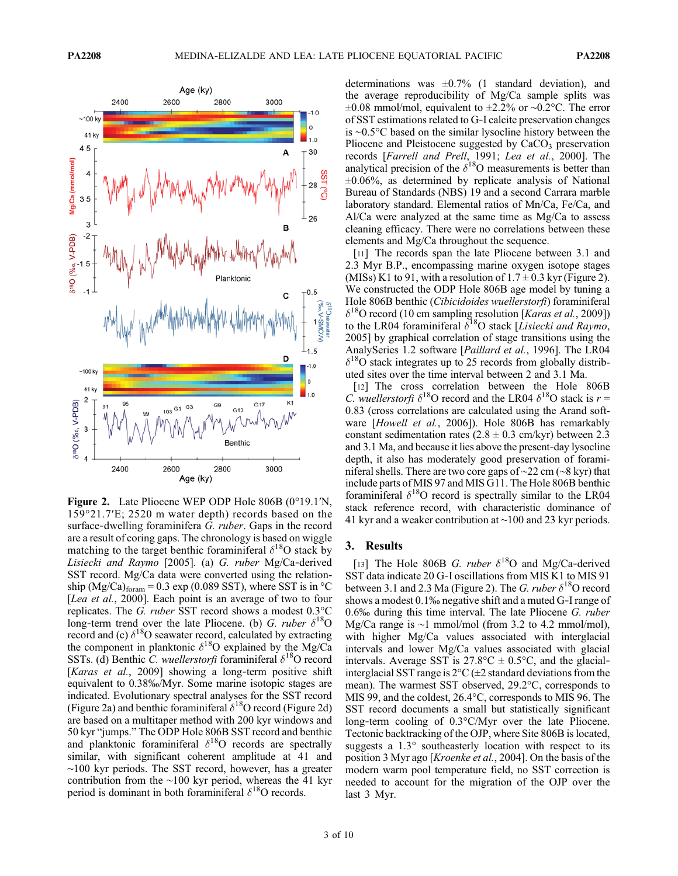

Figure 2. Late Pliocene WEP ODP Hole 806B (0°19.1′N, 159°21.7′E; 2520 m water depth) records based on the surface-dwelling foraminifera G. ruber. Gaps in the record are a result of coring gaps. The chronology is based on wiggle matching to the target benthic foraminiferal  $\delta^{18}$ O stack by Lisiecki and Raymo [2005]. (a) G. ruber Mg/Ca‐derived SST record. Mg/Ca data were converted using the relationship (Mg/Ca) $_{\text{form}}$  = 0.3 exp (0.089 SST), where SST is in  $^{\circ}$ C [Lea et al., 2000]. Each point is an average of two to four replicates. The G. ruber SST record shows a modest 0.3°C long-term trend over the late Pliocene. (b) G. ruber  $\delta^{18}O$ record and (c)  $\delta^{18}$ O seawater record, calculated by extracting the component in planktonic  $\delta^{18}O$  explained by the Mg/Ca SSTs. (d) Benthic C. wuellerstorfi foraminiferal  $\delta^{18}O$  record [Karas et al., 2009] showing a long-term positive shift equivalent to 0.38‰/Myr. Some marine isotopic stages are indicated. Evolutionary spectral analyses for the SST record (Figure 2a) and benthic foraminiferal  $\delta^{18}$ O record (Figure 2d) are based on a multitaper method with 200 kyr windows and 50 kyr "jumps." The ODP Hole 806B SST record and benthic and planktonic foraminiferal  $\delta^{18}$ O records are spectrally similar, with significant coherent amplitude at 41 and ∼100 kyr periods. The SST record, however, has a greater contribution from the ∼100 kyr period, whereas the 41 kyr period is dominant in both foraminiferal  $\delta^{18}$ O records.

determinations was  $\pm 0.7\%$  (1 standard deviation), and the average reproducibility of Mg/Ca sample splits was ±0.08 mmol/mol, equivalent to ±2.2% or ∼0.2°C. The error of SST estimations related to G‐I calcite preservation changes is ∼0.5°C based on the similar lysocline history between the Pliocene and Pleistocene suggested by  $CaCO<sub>3</sub>$  preservation records [Farrell and Prell, 1991; Lea et al., 2000]. The analytical precision of the  $\delta^{18}O$  measurements is better than ±0.06%, as determined by replicate analysis of National Bureau of Standards (NBS) 19 and a second Carrara marble laboratory standard. Elemental ratios of Mn/Ca, Fe/Ca, and Al/Ca were analyzed at the same time as Mg/Ca to assess cleaning efficacy. There were no correlations between these elements and Mg/Ca throughout the sequence.

[11] The records span the late Pliocene between 3.1 and 2.3 Myr B.P., encompassing marine oxygen isotope stages (MISs) K1 to 91, with a resolution of  $1.7 \pm 0.3$  kyr (Figure 2). We constructed the ODP Hole 806B age model by tuning a Hole 806B benthic (Cibicidoides wuellerstorfi) foraminiferal  $\delta^{18}$ O record (10 cm sampling resolution [*Karas et al.*, 2009]) to the LR04 foraminiferal  $\delta^{18}O$  stack [Lisiecki and Raymo, 2005] by graphical correlation of stage transitions using the AnalySeries 1.2 software [*Paillard et al.*, 1996]. The LR04  $\delta^{18}$ O stack integrates up to 25 records from globally distributed sites over the time interval between 2 and 3.1 Ma.

[12] The cross correlation between the Hole 806B *C. wuellerstorfi*  $\delta^{18}$ O record and the LR04  $\delta^{18}$ O stack is  $r =$ 0.83 (cross correlations are calculated using the Arand software [Howell et al., 2006]). Hole 806B has remarkably constant sedimentation rates  $(2.8 \pm 0.3 \text{ cm/kyr})$  between 2.3 and 3.1 Ma, and because it lies above the present‐day lysocline depth, it also has moderately good preservation of foraminiferal shells. There are two core gaps of ∼22 cm (∼8 kyr) that include parts of MIS 97 and MIS G11. The Hole 806B benthic foraminiferal  $\delta^{18}$ O record is spectrally similar to the LR04 stack reference record, with characteristic dominance of 41 kyr and a weaker contribution at ∼100 and 23 kyr periods.

## 3. Results

[13] The Hole 806B G. ruber  $\delta^{18}$ O and Mg/Ca-derived SST data indicate 20 G‐I oscillations from MIS K1 to MIS 91 between 3.1 and 2.3 Ma (Figure 2). The G. ruber  $\delta^{18}$ O record shows a modest 0.1‰ negative shift and a muted G‐I range of  $0.6\%$  during this time interval. The late Pliocene  $G$ . *ruber* Mg/Ca range is ∼1 mmol/mol (from 3.2 to 4.2 mmol/mol), with higher Mg/Ca values associated with interglacial intervals and lower Mg/Ca values associated with glacial intervals. Average SST is  $27.8^{\circ}\text{C} \pm 0.5^{\circ}\text{C}$ , and the glacialinterglacial SST range is  $2^{\circ}C$  ( $\pm 2$  standard deviations from the mean). The warmest SST observed, 29.2°C, corresponds to MIS 99, and the coldest, 26.4°C, corresponds to MIS 96. The SST record documents a small but statistically significant long‐term cooling of 0.3°C/Myr over the late Pliocene. Tectonic backtracking of the OJP, where Site 806B is located, suggests a 1.3° southeasterly location with respect to its position 3 Myr ago [Kroenke et al., 2004]. On the basis of the modern warm pool temperature field, no SST correction is needed to account for the migration of the OJP over the last 3 Myr.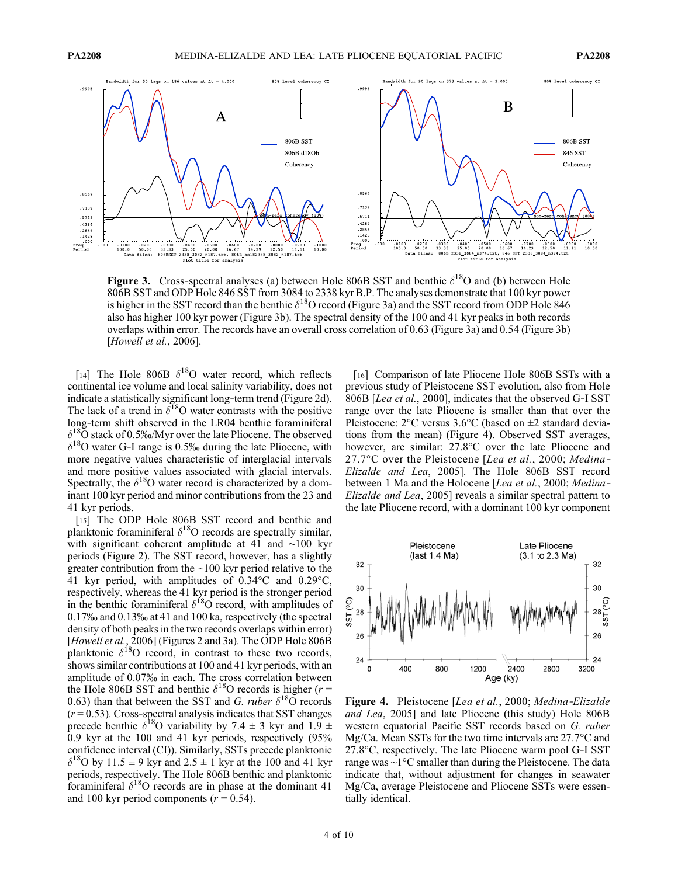

Figure 3. Cross-spectral analyses (a) between Hole 806B SST and benthic  $\delta^{18}O$  and (b) between Hole 806B SST and ODP Hole 846 SST from 3084 to 2338 kyr B.P. The analyses demonstrate that 100 kyr power is higher in the SST record than the benthic  $\delta^{18}O$  record (Figure 3a) and the SST record from ODP Hole 846 also has higher 100 kyr power (Figure 3b). The spectral density of the 100 and 41 kyr peaks in both records overlaps within error. The records have an overall cross correlation of 0.63 (Figure 3a) and 0.54 (Figure 3b) [Howell et al., 2006].

[14] The Hole 806B  $\delta^{18}$ O water record, which reflects continental ice volume and local salinity variability, does not indicate a statistically significant long‐term trend (Figure 2d). The lack of a trend in  $\delta^{18}$ O water contrasts with the positive long‐term shift observed in the LR04 benthic foraminiferal  $\delta^{18}$ O stack of 0.5‰/Myr over the late Pliocene. The observed  $\delta^{18}$ O water G-I range is 0.5‰ during the late Pliocene, with more negative values characteristic of interglacial intervals and more positive values associated with glacial intervals. Spectrally, the  $\delta^{18}O$  water record is characterized by a dominant 100 kyr period and minor contributions from the 23 and 41 kyr periods.

[15] The ODP Hole 806B SST record and benthic and planktonic foraminiferal  $\delta^{18}$ O records are spectrally similar, with significant coherent amplitude at 41 and ∼100 kyr periods (Figure 2). The SST record, however, has a slightly greater contribution from the ∼100 kyr period relative to the 41 kyr period, with amplitudes of 0.34°C and 0.29°C, respectively, whereas the 41 kyr period is the stronger period in the benthic foraminiferal  $\delta^{18}$ O record, with amplitudes of 0.17‰ and 0.13‰ at 41 and 100 ka, respectively (the spectral density of both peaks in the two records overlaps within error) [Howell et al., 2006] (Figures 2 and 3a). The ODP Hole 806B planktonic  $\delta^{18}$ O record, in contrast to these two records, shows similar contributions at 100 and 41 kyr periods, with an amplitude of 0.07‰ in each. The cross correlation between the Hole 806B SST and benthic  $\delta^{18}$ O records is higher (r = 0.63) than that between the SST and G. ruber  $\delta^{18}$ O records  $(r = 0.53)$ . Cross-spectral analysis indicates that SST changes precede benthic  $\delta^{18}$ O variability by 7.4  $\pm$  3 kyr and 1.9  $\pm$ 0.9 kyr at the 100 and 41 kyr periods, respectively (95% confidence interval (CI)). Similarly, SSTs precede planktonic  $\delta^{18}$ O by 11.5 ± 9 kyr and 2.5 ± 1 kyr at the 100 and 41 kyr periods, respectively. The Hole 806B benthic and planktonic foraminiferal  $\delta^{18}$ O records are in phase at the dominant 41 and 100 kyr period components ( $r = 0.54$ ).

[16] Comparison of late Pliocene Hole 806B SSTs with a previous study of Pleistocene SST evolution, also from Hole 806B [Lea et al., 2000], indicates that the observed G-I SST range over the late Pliocene is smaller than that over the Pleistocene: 2°C versus 3.6°C (based on ±2 standard deviations from the mean) (Figure 4). Observed SST averages, however, are similar: 27.8°C over the late Pliocene and 27.7°C over the Pleistocene [Lea et al., 2000; Medina-Elizalde and Lea, 2005]. The Hole 806B SST record between 1 Ma and the Holocene [Lea et al., 2000; Medina-Elizalde and Lea, 2005] reveals a similar spectral pattern to the late Pliocene record, with a dominant 100 kyr component



Figure 4. Pleistocene [Lea et al., 2000; Medina-Elizalde and Lea, 2005] and late Pliocene (this study) Hole 806B western equatorial Pacific SST records based on G. ruber Mg/Ca. Mean SSTs for the two time intervals are 27.7°C and 27.8°C, respectively. The late Pliocene warm pool G‐I SST range was ∼1°C smaller than during the Pleistocene. The data indicate that, without adjustment for changes in seawater Mg/Ca, average Pleistocene and Pliocene SSTs were essentially identical.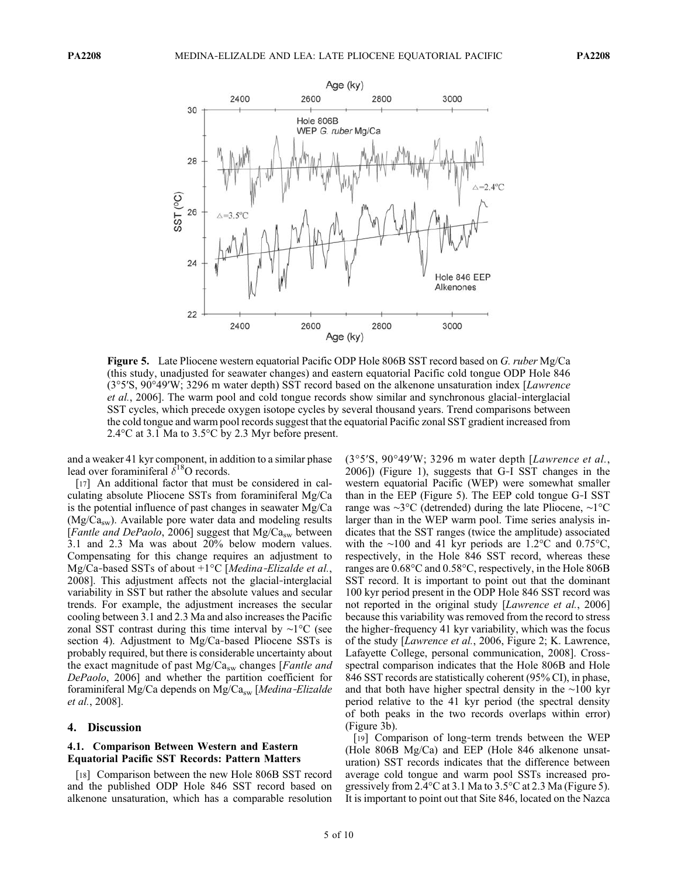

Figure 5. Late Pliocene western equatorial Pacific ODP Hole 806B SST record based on G. ruber Mg/Ca (this study, unadjusted for seawater changes) and eastern equatorial Pacific cold tongue ODP Hole 846 (3°5′S, 90°49′W; 3296 m water depth) SST record based on the alkenone unsaturation index [Lawrence et al., 2006]. The warm pool and cold tongue records show similar and synchronous glacial‐interglacial SST cycles, which precede oxygen isotope cycles by several thousand years. Trend comparisons between the cold tongue and warm pool records suggest that the equatorial Pacific zonal SST gradient increased from 2.4°C at 3.1 Ma to 3.5°C by 2.3 Myr before present.

and a weaker 41 kyr component, in addition to a similar phase lead over foraminiferal  $\delta^{18}$ O records.

[17] An additional factor that must be considered in calculating absolute Pliocene SSTs from foraminiferal Mg/Ca is the potential influence of past changes in seawater Mg/Ca  $(Mg/Ca_{sw})$ . Available pore water data and modeling results [Fantle and DePaolo, 2006] suggest that  $Mg/Ca_{sw}$  between 3.1 and 2.3 Ma was about 20% below modern values. Compensating for this change requires an adjustment to Mg/Ca-based SSTs of about  $+1^{\circ}C$  [Medina-Elizalde et al., 2008]. This adjustment affects not the glacial‐interglacial variability in SST but rather the absolute values and secular trends. For example, the adjustment increases the secular cooling between 3.1 and 2.3 Ma and also increases the Pacific zonal SST contrast during this time interval by ∼1°C (see section 4). Adjustment to Mg/Ca-based Pliocene SSTs is probably required, but there is considerable uncertainty about the exact magnitude of past  $Mg/Ca_{sw}$  changes [*Fantle and* DePaolo, 2006] and whether the partition coefficient for foraminiferal Mg/Ca depends on Mg/Ca<sub>sw</sub> [Medina-Elizalde et al., 2008].

### 4. Discussion

## 4.1. Comparison Between Western and Eastern Equatorial Pacific SST Records: Pattern Matters

[18] Comparison between the new Hole 806B SST record and the published ODP Hole 846 SST record based on alkenone unsaturation, which has a comparable resolution (3°5′S, 90°49′W; 3296 m water depth [Lawrence et al., 2006]) (Figure 1), suggests that G‐I SST changes in the western equatorial Pacific (WEP) were somewhat smaller than in the EEP (Figure 5). The EEP cold tongue G‐I SST range was ∼3°C (detrended) during the late Pliocene, ∼1°C larger than in the WEP warm pool. Time series analysis indicates that the SST ranges (twice the amplitude) associated with the ∼100 and 41 kyr periods are 1.2°C and 0.75°C, respectively, in the Hole 846 SST record, whereas these ranges are 0.68°C and 0.58°C, respectively, in the Hole 806B SST record. It is important to point out that the dominant 100 kyr period present in the ODP Hole 846 SST record was not reported in the original study [Lawrence et al., 2006] because this variability was removed from the record to stress the higher‐frequency 41 kyr variability, which was the focus of the study [Lawrence et al., 2006, Figure 2; K. Lawrence, Lafayette College, personal communication, 2008]. Cross‐ spectral comparison indicates that the Hole 806B and Hole 846 SST records are statistically coherent (95% CI), in phase, and that both have higher spectral density in the ∼100 kyr period relative to the 41 kyr period (the spectral density of both peaks in the two records overlaps within error) (Figure 3b).

[19] Comparison of long-term trends between the WEP (Hole 806B Mg/Ca) and EEP (Hole 846 alkenone unsaturation) SST records indicates that the difference between average cold tongue and warm pool SSTs increased progressively from 2.4°C at 3.1 Ma to 3.5°C at 2.3 Ma (Figure 5). It is important to point out that Site 846, located on the Nazca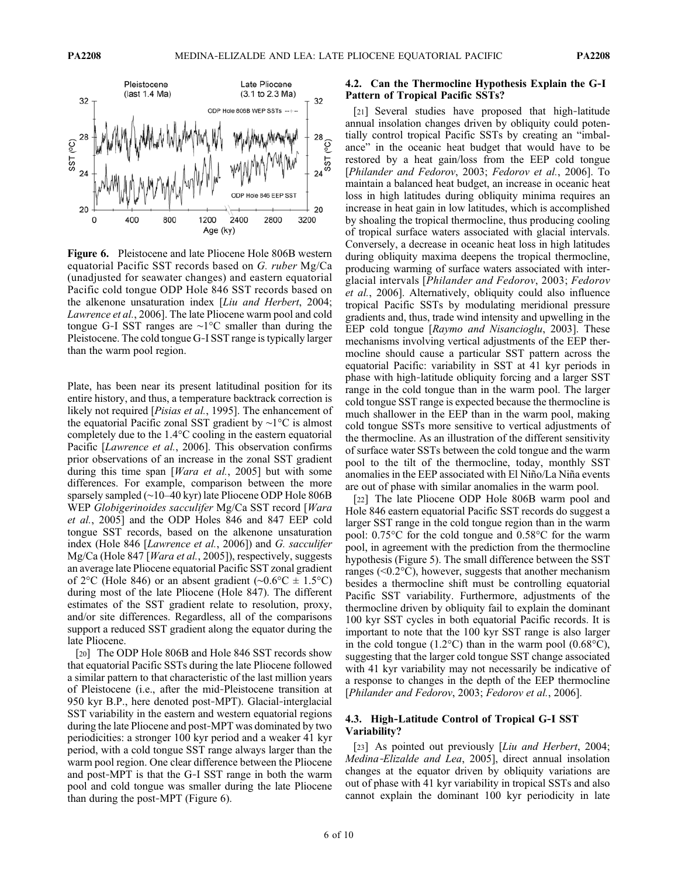

Figure 6. Pleistocene and late Pliocene Hole 806B western equatorial Pacific SST records based on G. ruber Mg/Ca (unadjusted for seawater changes) and eastern equatorial Pacific cold tongue ODP Hole 846 SST records based on the alkenone unsaturation index [Liu and Herbert, 2004; Lawrence et al., 2006]. The late Pliocene warm pool and cold tongue G‐I SST ranges are ∼1°C smaller than during the Pleistocene. The cold tongue G‐I SST range is typically larger than the warm pool region.

Plate, has been near its present latitudinal position for its entire history, and thus, a temperature backtrack correction is likely not required [*Pisias et al.*, 1995]. The enhancement of the equatorial Pacific zonal SST gradient by ∼1°C is almost completely due to the 1.4°C cooling in the eastern equatorial Pacific [*Lawrence et al.*, 2006]. This observation confirms prior observations of an increase in the zonal SST gradient during this time span [*Wara et al.*, 2005] but with some differences. For example, comparison between the more sparsely sampled (∼10–40 kyr) late Pliocene ODP Hole 806B WEP Globigerinoides sacculifer Mg/Ca SST record [Wara et al., 2005] and the ODP Holes 846 and 847 EEP cold tongue SST records, based on the alkenone unsaturation index (Hole 846 [Lawrence et al., 2006]) and G. sacculifer Mg/Ca (Hole 847 [*Wara et al.*, 2005]), respectively, suggests an average late Pliocene equatorial Pacific SST zonal gradient of 2°C (Hole 846) or an absent gradient (∼0.6°C ± 1.5°C) during most of the late Pliocene (Hole 847). The different estimates of the SST gradient relate to resolution, proxy, and/or site differences. Regardless, all of the comparisons support a reduced SST gradient along the equator during the late Pliocene.

[20] The ODP Hole 806B and Hole 846 SST records show that equatorial Pacific SSTs during the late Pliocene followed a similar pattern to that characteristic of the last million years of Pleistocene (i.e., after the mid‐Pleistocene transition at 950 kyr B.P., here denoted post‐MPT). Glacial‐interglacial SST variability in the eastern and western equatorial regions during the late Pliocene and post‐MPT was dominated by two periodicities: a stronger 100 kyr period and a weaker 41 kyr period, with a cold tongue SST range always larger than the warm pool region. One clear difference between the Pliocene and post‐MPT is that the G‐I SST range in both the warm pool and cold tongue was smaller during the late Pliocene than during the post‐MPT (Figure 6).

## 4.2. Can the Thermocline Hypothesis Explain the G‐I Pattern of Tropical Pacific SSTs?

[21] Several studies have proposed that high-latitude annual insolation changes driven by obliquity could potentially control tropical Pacific SSTs by creating an "imbalance" in the oceanic heat budget that would have to be restored by a heat gain/loss from the EEP cold tongue [Philander and Fedorov, 2003; Fedorov et al., 2006]. To maintain a balanced heat budget, an increase in oceanic heat loss in high latitudes during obliquity minima requires an increase in heat gain in low latitudes, which is accomplished by shoaling the tropical thermocline, thus producing cooling of tropical surface waters associated with glacial intervals. Conversely, a decrease in oceanic heat loss in high latitudes during obliquity maxima deepens the tropical thermocline, producing warming of surface waters associated with interglacial intervals [Philander and Fedorov, 2003; Fedorov et al., 2006]. Alternatively, obliquity could also influence tropical Pacific SSTs by modulating meridional pressure gradients and, thus, trade wind intensity and upwelling in the EEP cold tongue [Raymo and Nisancioglu, 2003]. These mechanisms involving vertical adjustments of the EEP thermocline should cause a particular SST pattern across the equatorial Pacific: variability in SST at 41 kyr periods in phase with high-latitude obliquity forcing and a larger SST range in the cold tongue than in the warm pool. The larger cold tongue SST range is expected because the thermocline is much shallower in the EEP than in the warm pool, making cold tongue SSTs more sensitive to vertical adjustments of the thermocline. As an illustration of the different sensitivity of surface water SSTs between the cold tongue and the warm pool to the tilt of the thermocline, today, monthly SST anomalies in the EEP associated with El Niño/La Niña events are out of phase with similar anomalies in the warm pool.

[22] The late Pliocene ODP Hole 806B warm pool and Hole 846 eastern equatorial Pacific SST records do suggest a larger SST range in the cold tongue region than in the warm pool: 0.75°C for the cold tongue and 0.58°C for the warm pool, in agreement with the prediction from the thermocline hypothesis (Figure 5). The small difference between the SST ranges (<0.2°C), however, suggests that another mechanism besides a thermocline shift must be controlling equatorial Pacific SST variability. Furthermore, adjustments of the thermocline driven by obliquity fail to explain the dominant 100 kyr SST cycles in both equatorial Pacific records. It is important to note that the 100 kyr SST range is also larger in the cold tongue  $(1.2^{\circ}C)$  than in the warm pool  $(0.68^{\circ}C)$ , suggesting that the larger cold tongue SST change associated with 41 kyr variability may not necessarily be indicative of a response to changes in the depth of the EEP thermocline [Philander and Fedorov, 2003; Fedorov et al., 2006].

# 4.3. High‐Latitude Control of Tropical G‐I SST Variability?

[23] As pointed out previously [Liu and Herbert, 2004; Medina‐Elizalde and Lea, 2005], direct annual insolation changes at the equator driven by obliquity variations are out of phase with 41 kyr variability in tropical SSTs and also cannot explain the dominant 100 kyr periodicity in late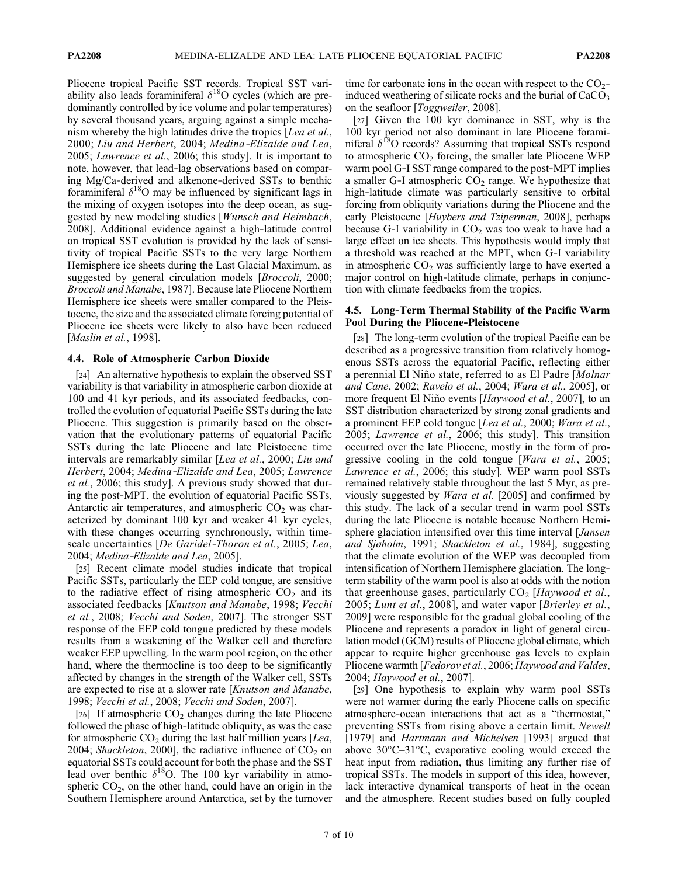Pliocene tropical Pacific SST records. Tropical SST variability also leads foraminiferal  $\delta^{18}$ O cycles (which are predominantly controlled by ice volume and polar temperatures) by several thousand years, arguing against a simple mechanism whereby the high latitudes drive the tropics [Lea et al., 2000; Liu and Herbert, 2004; Medina‐Elizalde and Lea, 2005; Lawrence et al., 2006; this study]. It is important to note, however, that lead‐lag observations based on comparing Mg/Ca‐derived and alkenone‐derived SSTs to benthic foraminiferal  $\delta^{18}O$  may be influenced by significant lags in the mixing of oxygen isotopes into the deep ocean, as suggested by new modeling studies [Wunsch and Heimbach, 2008]. Additional evidence against a high‐latitude control on tropical SST evolution is provided by the lack of sensitivity of tropical Pacific SSTs to the very large Northern Hemisphere ice sheets during the Last Glacial Maximum, as suggested by general circulation models [*Broccoli*, 2000; Broccoli and Manabe, 1987]. Because late Pliocene Northern Hemisphere ice sheets were smaller compared to the Pleistocene, the size and the associated climate forcing potential of Pliocene ice sheets were likely to also have been reduced [*Maslin et al.*, 1998].

## 4.4. Role of Atmospheric Carbon Dioxide

[24] An alternative hypothesis to explain the observed SST variability is that variability in atmospheric carbon dioxide at 100 and 41 kyr periods, and its associated feedbacks, controlled the evolution of equatorial Pacific SSTs during the late Pliocene. This suggestion is primarily based on the observation that the evolutionary patterns of equatorial Pacific SSTs during the late Pliocene and late Pleistocene time intervals are remarkably similar [Lea et al., 2000; Liu and Herbert, 2004; Medina‐Elizalde and Lea, 2005; Lawrence et al., 2006; this study]. A previous study showed that during the post‐MPT, the evolution of equatorial Pacific SSTs, Antarctic air temperatures, and atmospheric  $CO<sub>2</sub>$  was characterized by dominant 100 kyr and weaker 41 kyr cycles, with these changes occurring synchronously, within timescale uncertainties [De Garidel-Thoron et al., 2005; Lea, 2004; Medina‐Elizalde and Lea, 2005].

[25] Recent climate model studies indicate that tropical Pacific SSTs, particularly the EEP cold tongue, are sensitive to the radiative effect of rising atmospheric  $CO<sub>2</sub>$  and its associated feedbacks [Knutson and Manabe, 1998; Vecchi et al., 2008; Vecchi and Soden, 2007]. The stronger SST response of the EEP cold tongue predicted by these models results from a weakening of the Walker cell and therefore weaker EEP upwelling. In the warm pool region, on the other hand, where the thermocline is too deep to be significantly affected by changes in the strength of the Walker cell, SSTs are expected to rise at a slower rate [Knutson and Manabe, 1998; Vecchi et al., 2008; Vecchi and Soden, 2007].

[26] If atmospheric  $CO<sub>2</sub>$  changes during the late Pliocene followed the phase of high‐latitude obliquity, as was the case for atmospheric  $CO<sub>2</sub>$  during the last half million years [Lea, 2004; Shackleton, 2000], the radiative influence of  $CO<sub>2</sub>$  on equatorial SSTs could account for both the phase and the SST lead over benthic  $\delta^{18}$ O. The 100 kyr variability in atmospheric  $CO<sub>2</sub>$ , on the other hand, could have an origin in the Southern Hemisphere around Antarctica, set by the turnover

time for carbonate ions in the ocean with respect to the  $CO<sub>2</sub>$ induced weathering of silicate rocks and the burial of  $CaCO<sub>3</sub>$ on the seafloor [Toggweiler, 2008].

[27] Given the 100 kyr dominance in SST, why is the 100 kyr period not also dominant in late Pliocene foraminiferal  $\delta^{18}$ O records? Assuming that tropical SSTs respond to atmospheric  $CO<sub>2</sub>$  forcing, the smaller late Pliocene WEP warm pool G-I SST range compared to the post-MPT implies a smaller G-I atmospheric  $CO<sub>2</sub>$  range. We hypothesize that high-latitude climate was particularly sensitive to orbital forcing from obliquity variations during the Pliocene and the early Pleistocene [Huybers and Tziperman, 2008], perhaps because G-I variability in  $CO<sub>2</sub>$  was too weak to have had a large effect on ice sheets. This hypothesis would imply that a threshold was reached at the MPT, when G‐I variability in atmospheric  $CO<sub>2</sub>$  was sufficiently large to have exerted a major control on high-latitude climate, perhaps in conjunction with climate feedbacks from the tropics.

## 4.5. Long‐Term Thermal Stability of the Pacific Warm Pool During the Pliocene‐Pleistocene

[28] The long-term evolution of the tropical Pacific can be described as a progressive transition from relatively homogenous SSTs across the equatorial Pacific, reflecting either a perennial El Niño state, referred to as El Padre [Molnar and Cane, 2002; Ravelo et al., 2004; Wara et al., 2005], or more frequent El Niño events [Haywood et al., 2007], to an SST distribution characterized by strong zonal gradients and a prominent EEP cold tongue [Lea et al., 2000; Wara et al., 2005; Lawrence et al., 2006; this study]. This transition occurred over the late Pliocene, mostly in the form of progressive cooling in the cold tongue [Wara et al., 2005; Lawrence et al., 2006; this study]. WEP warm pool SSTs remained relatively stable throughout the last 5 Myr, as previously suggested by Wara et al. [2005] and confirmed by this study. The lack of a secular trend in warm pool SSTs during the late Pliocene is notable because Northern Hemisphere glaciation intensified over this time interval [*Jansen*] and Sjøholm, 1991; Shackleton et al., 1984], suggesting that the climate evolution of the WEP was decoupled from intensification of Northern Hemisphere glaciation. The long– term stability of the warm pool is also at odds with the notion that greenhouse gases, particularly  $CO<sub>2</sub>$  [Haywood et al., 2005; Lunt et al., 2008], and water vapor [Brierley et al., 2009] were responsible for the gradual global cooling of the Pliocene and represents a paradox in light of general circulation model (GCM) results of Pliocene global climate, which appear to require higher greenhouse gas levels to explain Pliocene warmth [Fedorov et al., 2006; Haywood and Valdes, 2004; Haywood et al., 2007].

[29] One hypothesis to explain why warm pool SSTs were not warmer during the early Pliocene calls on specific atmosphere‐ocean interactions that act as a "thermostat," preventing SSTs from rising above a certain limit. Newell [1979] and *Hartmann and Michelsen* [1993] argued that above 30°C–31°C, evaporative cooling would exceed the heat input from radiation, thus limiting any further rise of tropical SSTs. The models in support of this idea, however, lack interactive dynamical transports of heat in the ocean and the atmosphere. Recent studies based on fully coupled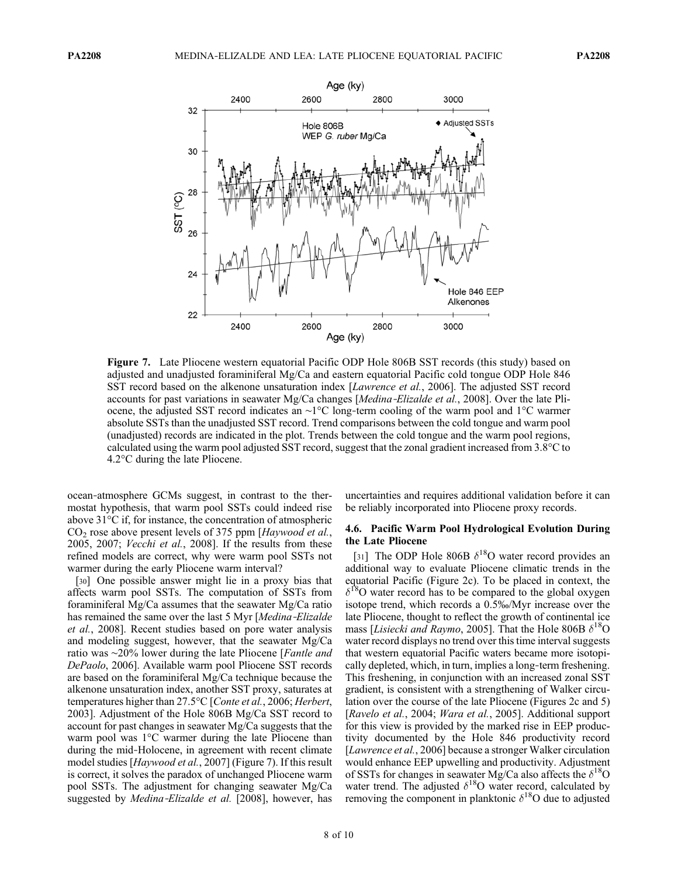

Figure 7. Late Pliocene western equatorial Pacific ODP Hole 806B SST records (this study) based on adjusted and unadjusted foraminiferal Mg/Ca and eastern equatorial Pacific cold tongue ODP Hole 846 SST record based on the alkenone unsaturation index [Lawrence et al., 2006]. The adjusted SST record accounts for past variations in seawater Mg/Ca changes [Medina‐Elizalde et al., 2008]. Over the late Pliocene, the adjusted SST record indicates an ∼1°C long‐term cooling of the warm pool and 1°C warmer absolute SSTs than the unadjusted SST record. Trend comparisons between the cold tongue and warm pool (unadjusted) records are indicated in the plot. Trends between the cold tongue and the warm pool regions, calculated using the warm pool adjusted SST record, suggest that the zonal gradient increased from 3.8°C to 4.2°C during the late Pliocene.

ocean‐atmosphere GCMs suggest, in contrast to the thermostat hypothesis, that warm pool SSTs could indeed rise above 31°C if, for instance, the concentration of atmospheric  $CO<sub>2</sub>$  rose above present levels of 375 ppm [Haywood et al., 2005, 2007; Vecchi et al., 2008]. If the results from these refined models are correct, why were warm pool SSTs not warmer during the early Pliocene warm interval?

[30] One possible answer might lie in a proxy bias that affects warm pool SSTs. The computation of SSTs from foraminiferal Mg/Ca assumes that the seawater Mg/Ca ratio has remained the same over the last 5 Myr [Medina-Elizalde et al., 2008]. Recent studies based on pore water analysis and modeling suggest, however, that the seawater Mg/Ca ratio was ∼20% lower during the late Pliocene [*Fantle and* DePaolo, 2006]. Available warm pool Pliocene SST records are based on the foraminiferal Mg/Ca technique because the alkenone unsaturation index, another SST proxy, saturates at temperatures higher than 27.5°C [Conte et al., 2006; Herbert, 2003]. Adjustment of the Hole 806B Mg/Ca SST record to account for past changes in seawater Mg/Ca suggests that the warm pool was 1°C warmer during the late Pliocene than during the mid‐Holocene, in agreement with recent climate model studies [Haywood et al., 2007] (Figure 7). If this result is correct, it solves the paradox of unchanged Pliocene warm pool SSTs. The adjustment for changing seawater Mg/Ca suggested by *Medina-Elizalde et al.* [2008], however, has

uncertainties and requires additional validation before it can be reliably incorporated into Pliocene proxy records.

## 4.6. Pacific Warm Pool Hydrological Evolution During the Late Pliocene

[31] The ODP Hole 806B  $\delta^{18}$ O water record provides an additional way to evaluate Pliocene climatic trends in the equatorial Pacific (Figure 2c). To be placed in context, the  $\delta^{18}$ O water record has to be compared to the global oxygen isotope trend, which records a 0.5‰/Myr increase over the late Pliocene, thought to reflect the growth of continental ice mass [*Lisiecki and Raymo*, 2005]. That the Hole 806B  $\delta^{18}$ O water record displays no trend over this time interval suggests that western equatorial Pacific waters became more isotopically depleted, which, in turn, implies a long‐term freshening. This freshening, in conjunction with an increased zonal SST gradient, is consistent with a strengthening of Walker circulation over the course of the late Pliocene (Figures 2c and 5) [Ravelo et al., 2004; Wara et al., 2005]. Additional support for this view is provided by the marked rise in EEP productivity documented by the Hole 846 productivity record [*Lawrence et al.*, 2006] because a stronger Walker circulation would enhance EEP upwelling and productivity. Adjustment of SSTs for changes in seawater Mg/Ca also affects the  $\delta^{18}O$ water trend. The adjusted  $\delta^{18}O$  water record, calculated by removing the component in planktonic  $\delta^{18}$ O due to adjusted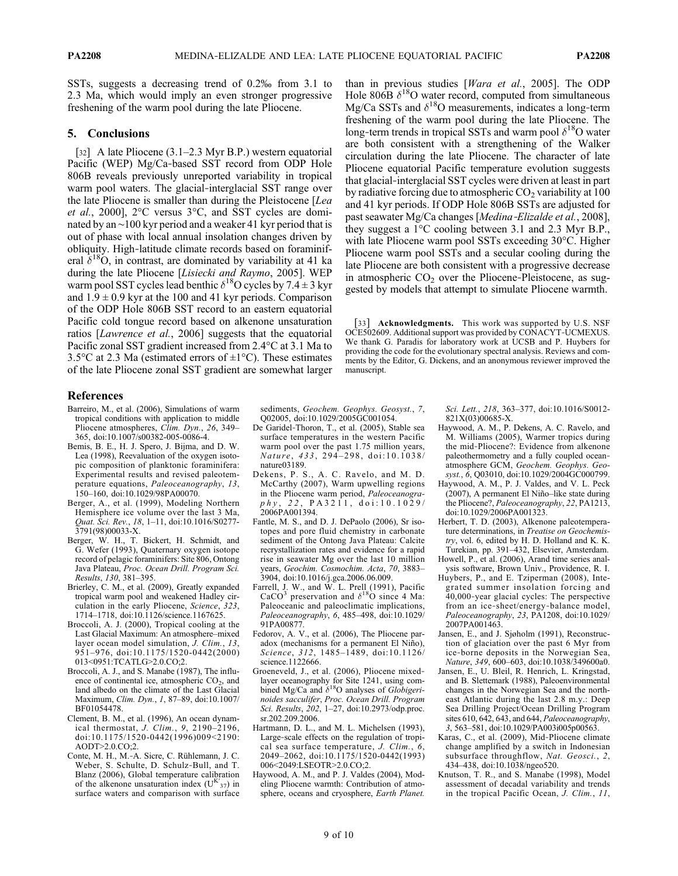SSTs, suggests a decreasing trend of 0.2‰ from 3.1 to 2.3 Ma, which would imply an even stronger progressive freshening of the warm pool during the late Pliocene.

## 5. Conclusions

[32] A late Pliocene (3.1–2.3 Myr B.P.) western equatorial Pacific (WEP) Mg/Ca-based SST record from ODP Hole 806B reveals previously unreported variability in tropical warm pool waters. The glacial-interglacial SST range over the late Pliocene is smaller than during the Pleistocene [Lea et al., 2000], 2°C versus 3°C, and SST cycles are dominated by an ∼100 kyr period and a weaker 41 kyr period that is out of phase with local annual insolation changes driven by obliquity. High‐latitude climate records based on foraminiferal  $\delta^{18}O$ , in contrast, are dominated by variability at 41 ka during the late Pliocene [Lisiecki and Raymo, 2005]. WEP warm pool SST cycles lead benthic  $\delta^{18}$ O cycles by 7.4 ± 3 kyr and  $1.9 \pm 0.9$  kyr at the 100 and 41 kyr periods. Comparison of the ODP Hole 806B SST record to an eastern equatorial Pacific cold tongue record based on alkenone unsaturation ratios [Lawrence et al., 2006] suggests that the equatorial Pacific zonal SST gradient increased from 2.4°C at 3.1 Ma to 3.5 $\degree$ C at 2.3 Ma (estimated errors of  $\pm 1\degree$ C). These estimates of the late Pliocene zonal SST gradient are somewhat larger than in previous studies [Wara et al., 2005]. The ODP Hole 806B  $\delta^{18}$ O water record, computed from simultaneous Mg/Ca SSTs and  $\delta^{18}$ O measurements, indicates a long-term freshening of the warm pool during the late Pliocene. The long-term trends in tropical SSTs and warm pool  $\delta^{18}$ O water are both consistent with a strengthening of the Walker circulation during the late Pliocene. The character of late Pliocene equatorial Pacific temperature evolution suggests that glacial‐interglacial SST cycles were driven at least in part by radiative forcing due to atmospheric  $CO<sub>2</sub>$  variability at 100 and 41 kyr periods. If ODP Hole 806B SSTs are adjusted for past seawater Mg/Ca changes [Medina-Elizalde et al., 2008], they suggest a 1°C cooling between 3.1 and 2.3 Myr B.P., with late Pliocene warm pool SSTs exceeding 30°C. Higher Pliocene warm pool SSTs and a secular cooling during the late Pliocene are both consistent with a progressive decrease in atmospheric  $CO<sub>2</sub>$  over the Pliocene-Pleistocene, as suggested by models that attempt to simulate Pliocene warmth.

[33] Acknowledgments. This work was supported by U.S. NSF OCE502609. Additional support was provided by CONACYT‐UCMEXUS. We thank G. Paradis for laboratory work at UCSB and P. Huybers for providing the code for the evolutionary spectral analysis. Reviews and comments by the Editor, G. Dickens, and an anonymous reviewer improved the manuscript.

## References

- Barreiro, M., et al. (2006), Simulations of warm tropical conditions with application to middle Pliocene atmospheres, Clim. Dyn., 26, 349– 365, doi:10.1007/s00382-005-0086-4.
- Bemis, B. E., H. J. Spero, J. Bijma, and D. W. Lea (1998), Reevaluation of the oxygen isotopic composition of planktonic foraminifera: Experimental results and revised paleotemperature equations, Paleoceanography, 13, 150–160, doi:10.1029/98PA00070.
- Berger, A., et al. (1999), Modeling Northern Hemisphere ice volume over the last 3 Ma, Quat. Sci. Rev., 18, 1–11, doi:10.1016/S0277- 3791(98)00033-X.
- Berger, W. H., T. Bickert, H. Schmidt, and G. Wefer (1993), Quaternary oxygen isotope record of pelagic foraminifers: Site 806, Ontong Java Plateau, Proc. Ocean Drill. Program Sci. Results, 130, 381–395.
- Brierley, C. M., et al. (2009), Greatly expanded tropical warm pool and weakened Hadley circulation in the early Pliocene, Science, 323, 1714–1718, doi:10.1126/science.1167625.
- Broccoli, A. J. (2000), Tropical cooling at the Last Glacial Maximum: An atmosphere–mixed layer ocean model simulation, J. Clim., 13 951–976, doi:10.1175/1520-0442(2000) 013<0951:TCATLG>2.0.CO;2.
- Broccoli, A. J., and S. Manabe (1987), The influence of continental ice, atmospheric  $CO<sub>2</sub>$ , and land albedo on the climate of the Last Glacial Maximum, Clim. Dyn., 1, 87–89, doi:10.1007/ BF01054478.
- Clement, B. M., et al. (1996), An ocean dynamical thermostat,  $J$ ,  $Clim$ ,  $9$ ,  $2190-2196$ , doi:10.1175/1520-0442(1996)009<2190: AODT>2.0.CO;2.
- Conte, M. H., M.‐A. Sicre, C. Rühlemann, J. C. Weber, S. Schulte, D. Schulz‐Bull, and T. Blanz (2006), Global temperature calibration of the alkenone unsaturation index  $(U^{K'}_{37})$  in surface waters and comparison with surface

sediments, Geochem. Geophys. Geosyst., 7. Q02005, doi:10.1029/2005GC001054.

- De Garidel‐Thoron, T., et al. (2005), Stable sea surface temperatures in the western Pacific warm pool over the past 1.75 million years, Nature, 433, 294-298, doi:10.1038/ nature03189.
- Dekens, P. S., A. C. Ravelo, and M. D. McCarthy (2007), Warm upwelling regions in the Pliocene warm period, Paleoceanogra $phy, 22, PA3211, 4001:10.1029/$ 2006PA001394.
- Fantle, M. S., and D. J. DePaolo (2006), Sr isotopes and pore fluid chemistry in carbonate sediment of the Ontong Java Plateau: Calcite recrystallization rates and evidence for a rapid rise in seawater Mg over the last 10 million years, Geochim. Cosmochim. Acta, 70, 3883– 3904, doi:10.1016/j.gca.2006.06.009.
- Farrell, J. W., and W. L. Prell (1991), Pacific CaCO<sup>3</sup> preservation and  $\delta^{18}$ O since 4 Ma: Paleoceanic and paleoclimatic implications, Paleoceanography, 6, 485–498, doi:10.1029/ 91PA00877.
- Fedorov, A. V., et al. (2006), The Pliocene paradox (mechanisms for a permanent El Niño), Science, 312, 1485–1489, doi:10.1126/ science.1122666.
- Groeneveld, J., et al. (2006), Pliocene mixed‐ layer oceanography for Site 1241, using combined Mg/Ca and  $\delta^{18}$ O analyses of Globigerinoides sacculifer, Proc. Ocean Drill. Program Sci. Results, 202, 1–27, doi:10.2973/odp.proc. sr.202.209.2006.
- Hartmann, D. L., and M. L. Michelsen (1993), Large‐scale effects on the regulation of tropical sea surface temperature, J. Clim., 6, 2049–2062, doi:10.1175/1520-0442(1993) 006<2049:LSEOTR>2.0.CO;2.
- Haywood, A. M., and P. J. Valdes (2004), Modeling Pliocene warmth: Contribution of atmosphere, oceans and cryosphere, Earth Planet.

Sci. Lett., 218, 363–377, doi:10.1016/S0012- 821X(03)00685-X.

- Haywood, A. M., P. Dekens, A. C. Ravelo, and M. Williams (2005), Warmer tropics during the mid‐Pliocene?: Evidence from alkenone paleothermometry and a fully coupled oceanatmosphere GCM, Geochem. Geophys. Geosyst., 6, Q03010, doi:10.1029/2004GC000799.
- Haywood, A. M., P. J. Valdes, and V. L. Peck (2007), A permanent El Niño–like state during the Pliocene?, Paleoceanography, 22, PA1213, doi:10.1029/2006PA001323.
- Herbert, T. D. (2003), Alkenone paleotemperature determinations, in Treatise on Geochemistry, vol. 6, edited by H. D. Holland and K. K. Turekian, pp. 391–432, Elsevier, Amsterdam.
- Howell, P., et al. (2006), Arand time series analysis software, Brown Univ., Providence, R. I.
- Huybers, P., and E. Tziperman (2008), Integrated summer insolation forcing and 40,000‐year glacial cycles: The perspective from an ice-sheet/energy-balance model, Paleoceanography, 23, PA1208, doi:10.1029/ 2007PA001463.
- Jansen, E., and J. Sjøholm (1991), Reconstruction of glaciation over the past 6 Myr from ice‐borne deposits in the Norwegian Sea, Nature, 349, 600–603, doi:10.1038/349600a0.
- Jansen, E., U. Bleil, R. Henrich, L. Kringstad, and B. Slettemark (1988), Paleoenvironmental changes in the Norwegian Sea and the northeast Atlantic during the last 2.8 m.y.: Deep Sea Drilling Project/Ocean Drilling Program sites 610, 642, 643, and 644, Paleoceanography, 3, 563–581, doi:10.1029/PA003i005p00563.
- Karas, C., et al. (2009), Mid‐Pliocene climate change amplified by a switch in Indonesian subsurface throughflow, Nat. Geosci., 2, 434–438, doi:10.1038/ngeo520.
- Knutson, T. R., and S. Manabe (1998), Model assessment of decadal variability and trends in the tropical Pacific Ocean, J. Clim., 11,